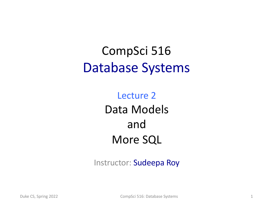### CompSci 516 Database Systems

Lecture 2 Data Models and More SQL

Instructor: Sudeepa Roy

Duke CS, Spring 2022 **CompSci 516: Database Systems** 1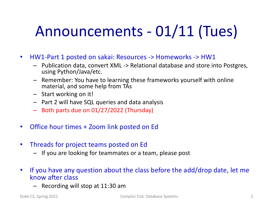# Announcements - 01/11 (Tues)

- HW1-Part 1 posted on sakai: Resources -> Homeworks -> HW1
	- Publication data, convert XML -> Relational database and store into Postgres, using Python/Java/etc.
	- Remember: You have to learning these frameworks yourself with online material, and some help from TAs
	- Start working on it!
	- Part 2 will have SQL queries and data analysis
	- Both parts due on 01/27/2022 (Thursday)
- Office hour times + Zoom link posted on Ed
- Threads for project teams posted on Ed
	- If you are looking for teammates or a team, please post
- If you have any question about the class before the add/drop date, let me know after class
	- Recording will stop at 11:30 am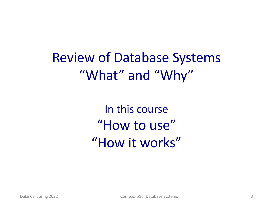Review of Database Systems "What" and "Why"

> In this course "How to use" "How it works"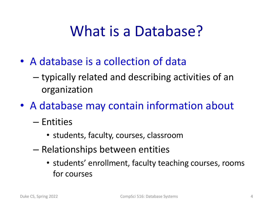# What is a Database?

- A database is a collection of data
	- typically related and describing activities of an organization
- A database may contain information about
	- Entities
		- students, faculty, courses, classroom
	- Relationships between entities
		- students' enrollment, faculty teaching courses, rooms for courses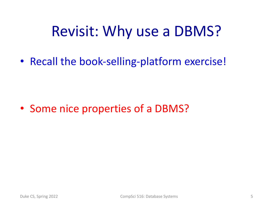## Revisit: Why use a DBMS?

• Recall the book-selling-platform exercise!

• Some nice properties of a DBMS?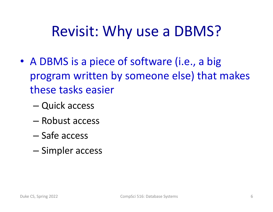## Revisit: Why use a DBMS?

- A DBMS is a piece of software (i.e., a big program written by someone else) that makes these tasks easier
	- Quick access
	- Robust access
	- Safe access
	- Simpler access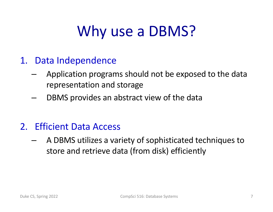# Why use a DBMS?

- 1. Data Independence
	- Application programs should not be exposed to the data representation and storage
	- DBMS provides an abstract view of the data
- 2. Efficient Data Access
	- A DBMS utilizes a variety of sophisticated techniques to store and retrieve data (from disk) efficiently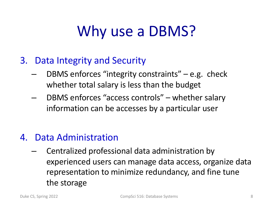# Why use a DBMS?

- 3. Data Integrity and Security
	- DBMS enforces "integrity constraints" e.g. check whether total salary is less than the budget
	- DBMS enforces "access controls" whether salary information can be accesses by a particular user

#### 4. Data Administration

– Centralized professional data administration by experienced users can manage data access, organize data representation to minimize redundancy, and fine tune the storage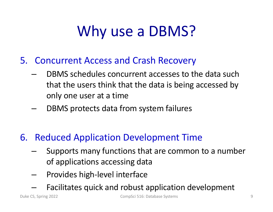# Why use a DBMS?

- 5. Concurrent Access and Crash Recovery
	- DBMS schedules concurrent accesses to the data such that the users think that the data is being accessed by only one user at a time
	- DBMS protects data from system failures
- 6. Reduced Application Development Time
	- Supports many functions that are common to a number of applications accessing data
	- Provides high-level interface
	- Facilitates quick and robust application development

Duke CS, Spring 2022 CompSci 516: Database Systems 9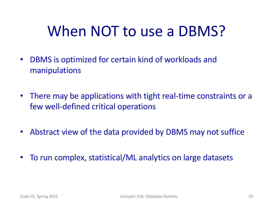# When NOT to use a DBMS?

- DBMS is optimized for certain kind of workloads and manipulations
- There may be applications with tight real-time constraints or a few well-defined critical operations
- Abstract view of the data provided by DBMS may not suffice
- To run complex, statistical/ML analytics on large datasets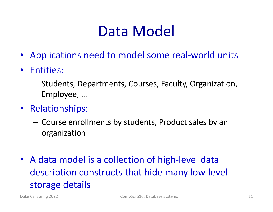# Data Model

- Applications need to model some real-world units
- Entities:
	- Students, Departments, Courses, Faculty, Organization, Employee, …
- Relationships:
	- Course enrollments by students, Product sales by an organization
- A data model is a collection of high-level data description constructs that hide many low-level storage details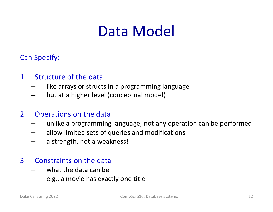# Data Model

Can Specify:

#### 1. Structure of the data

- like arrays or structs in a programming language
- but at a higher level (conceptual model)

#### 2. Operations on the data

- unlike a programming language, not any operation can be performed
- allow limited sets of queries and modifications
- a strength, not a weakness!

#### 3. Constraints on the data

- what the data can be
- e.g., a movie has exactly one title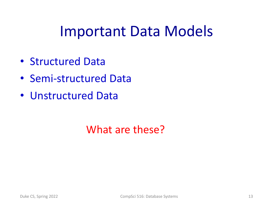### Important Data Models

- Structured Data
- Semi-structured Data
- Unstructured Data

### What are these?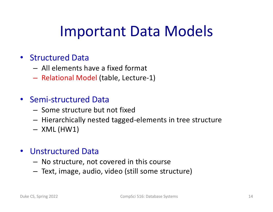## Important Data Models

#### • Structured Data

- All elements have a fixed format
- Relational Model (table, Lecture-1)

#### • Semi-structured Data

- Some structure but not fixed
- Hierarchically nested tagged-elements in tree structure
- $-$  XML (HW1)

#### • Unstructured Data

- No structure, not covered in this course
- Text, image, audio, video (still some structure)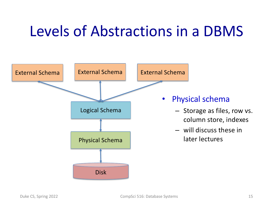# Levels of Abstractions in a DBMS

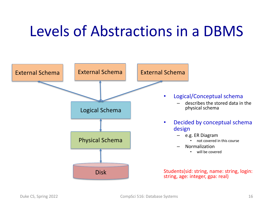# Levels of Abstractions in a DBMS

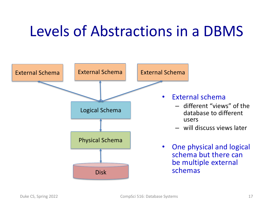# Levels of Abstractions in a DBMS

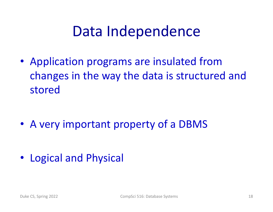## Data Independence

• Application programs are insulated from changes in the way the data is structured and stored

• A very important property of a DBMS

• Logical and Physical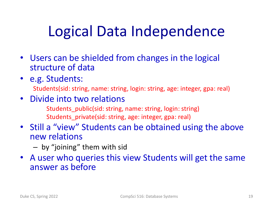# Logical Data Independence

- Users can be shielded from changes in the logical structure of data
- e.g. Students:

Students(sid: string, name: string, login: string, age: integer, gpa: real)

- Divide into two relations
	- Students\_public(sid: string, name: string, login: string) Students\_private(sid: string, age: integer, gpa: real)
- Still a "view" Students can be obtained using the above new relations
	- by "joining" them with sid
- A user who queries this view Students will get the same answer as before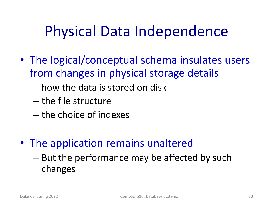# Physical Data Independence

- The logical/conceptual schema insulates users from changes in physical storage details
	- how the data is stored on disk
	- the file structure
	- the choice of indexes
- The application remains unaltered
	- But the performance may be affected by such changes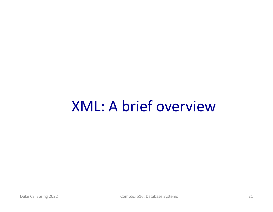## XML: A brief overview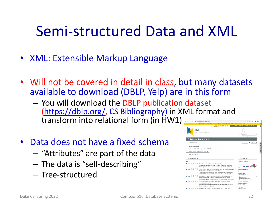## Semi-structured Data and XML

- XML: Extensible Markup Language
- Will not be covered in detail in class, but many datasets available to download (DBLP, Yelp) are in this form
	- You will download the DBLP publication dataset [\(https://dblp.org](https://dblp.org/)/, CS Bibliography) in XML format and transform into relational form (in HW1)
- Data does not have a fixed schema
	- "Attributes" are part of the data
	- The data is "self-describing"
	- Tree-structured

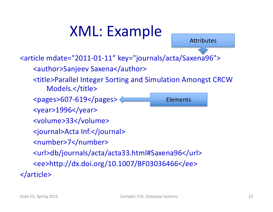# XML: Example

Attributes

Elements

<article mdate="2011-01-11" key="journals/acta/Saxena96">

<author>Sanjeev Saxena</author>

<title>Parallel Integer Sorting and Simulation Amongst CRCW Models.</title>

<pages>607-619</pages>

<year>1996</year>

<volume>33</volume>

<journal>Acta Inf.</journal>

<number>7</number>

<url>db/journals/acta/acta33.html#Saxena96</url>

<ee>http://dx.doi.org/10.1007/BF03036466</ee>

</article>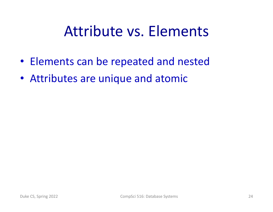## Attribute vs. Elements

- Elements can be repeated and nested
- Attributes are unique and atomic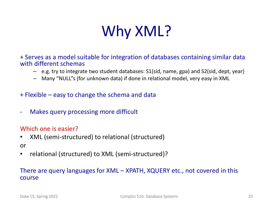

+ Serves as a model suitable for integration of databases containing similar data with different schemas

- e.g. try to integrate two student databases: S1(sid, name, gpa) and S2(sid, dept, year)
- Many "NULL"s (for unknown data) if done in relational model, very easy in XML
- + Flexible easy to change the schema and data
- Makes query processing more difficult

#### Which one is easier?

• XML (semi-structured) to relational (structured)

#### or

• relational (structured) to XML (semi-structured)?

#### There are query languages for XML – XPATH, XQUERY etc., not covered in this course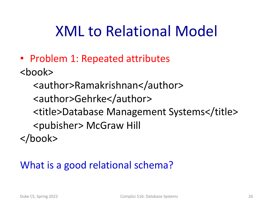• Problem 1: Repeated attributes

<book>

<author>Ramakrishnan</author> <author>Gehrke</author> <title>Database Management Systems</title> <pubisher> McGraw Hill </book>

### What is a good relational schema?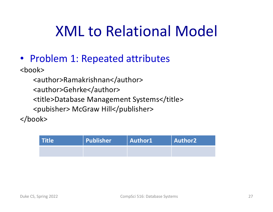• Problem 1: Repeated attributes

<book>

<author>Ramakrishnan</author>

<author>Gehrke</author>

<title>Database Management Systems</title>

<pubisher> McGraw Hill</publisher>

</book>

| <b>Title</b> | Publisher | Author1 | $\ $ Author2 $\ $ |
|--------------|-----------|---------|-------------------|
|              |           |         |                   |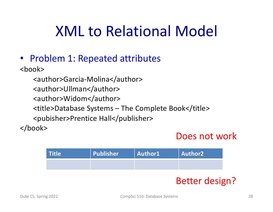• Problem 1: Repeated attributes

<book>

- <author>Garcia-Molina</author>
- <author>Ullman</author>
- <author>Widom</author>
- <title>Database Systems The Complete Book</title>
- <pubisher>Prentice Hall</publisher>

</book>

#### Does not work

| <b>Title</b> | Publisher | Author1 | Author2 |
|--------------|-----------|---------|---------|
|              |           |         |         |

#### Better design?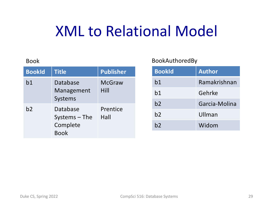#### Book

| <b>BookId</b> | <b>Title</b>                                           | <b>Publisher</b>      |
|---------------|--------------------------------------------------------|-----------------------|
| b1            | Database<br>Management<br>Systems                      | <b>McGraw</b><br>Hill |
| b2            | Database<br>$Systems - The$<br>Complete<br><b>Book</b> | Prentice<br>Hall      |

#### BookAuthoredBy

| <b>BookId</b> | <b>Author</b> |
|---------------|---------------|
| b1            | Ramakrishnan  |
| b1            | Gehrke        |
| b2            | Garcia-Molina |
| b2            | Ullman        |
| b2            | Widom         |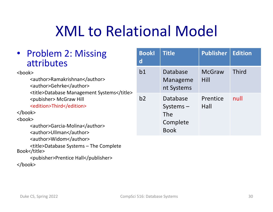| • Problem 2: Missing<br>attributes                                                                                                                                                                                                                                                                            | <b>Bookl</b><br>$\mathsf{d}$ | <b>Title</b>                                              | <b>Publisher</b>      | <b>Edition</b> |
|---------------------------------------------------------------------------------------------------------------------------------------------------------------------------------------------------------------------------------------------------------------------------------------------------------------|------------------------------|-----------------------------------------------------------|-----------------------|----------------|
| <book><br/><author>Ramakrishnan</author><br/><author>Gehrke</author><br/><title>Database Management Systems</title><br/><pubisher> McGraw Hill<br/><edition>Third</edition><br/><math>&lt;</math>/book&gt;<br/><book><br/><author>Garcia-Molina</author><br/><author>Ullman</author></book></pubisher></book> | b <sub>1</sub>               | Database<br>Manageme<br>nt Systems                        | <b>McGraw</b><br>Hill | <b>Third</b>   |
|                                                                                                                                                                                                                                                                                                               | b2                           | Database<br>$Systems -$<br>The<br>Complete<br><b>Book</b> | Prentice<br>Hall      | null           |
| <author>Widom</author><br><title>Database Systems - The Complete<br/>Book</title><br><pubisher>Prentice Hall<br/></pubisher>                                                                                                                                                                                  |                              |                                                           |                       |                |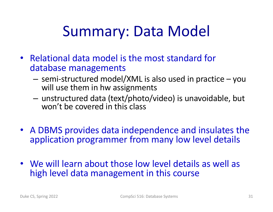# Summary: Data Model

- Relational data model is the most standard for database managements
	- semi-structured model/XML is also used in practice you will use them in hw assignments
	- unstructured data (text/photo/video) is unavoidable, but won't be covered in this class
- A DBMS provides data independence and insulates the application programmer from many low level details
- We will learn about those low level details as well as high level data management in this course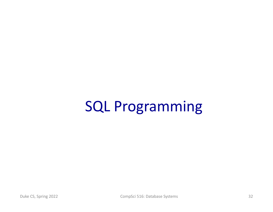# SQL Programming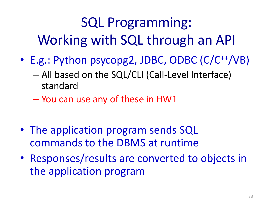# SQL Programming: Working with SQL through an API

- E.g.: Python psycopg2, JDBC, ODBC (C/C<sup>++</sup>/VB)
	- All based on the SQL/CLI (Call-Level Interface) standard
	- You can use any of these in HW1
- The application program sends SQL commands to the DBMS at runtime
- Responses/results are converted to objects in the application program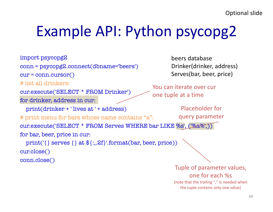# Example API: Python psycopg2

import psycopg2

conn = psycopg2.connect(dbname='beers')

 $cur = conn.cursor()$ 

# list all drinkers:

cur.execute('SELECT \* FROM Drinker') for drinker, address in cur:

print(drinker + ' lives at ' + address)

# print menu for bars whose name contains "a":

beers database Drinker(drinker, address) Serves(bar, beer, price)

You can iterate over cur one tuple at a time

> Placeholder for query parameter

cur.execute('SELECT \* FROM Serves WHERE bar LIKE %s', ('%a%',)) for bar, beer, price in cur:

print('{} serves {} at \${:,.2f}'.format(bar, beer, price)) cur.close()

conn.close()

Tuple of parameter values, one for each %s (note that the trailing "," is needed when the tuple contains only one value)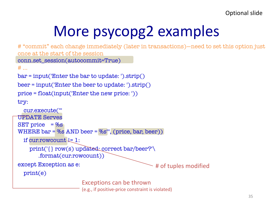# More psycopg2 examples

```
# "commit" each change immediately (later in transactions)—need to set this option just 
once at the start of the session
conn.set_session(autocommit=True)
# ...
bar = input('Enter the bar to update: ').strip()
beer = input('Enter the beer to update: ').strip()
price = float(input('Enter the new price: '))
try:
  cur.execute('''
UPDATE Serves
SET price = %s
WHERE bar = \%s AND beer = %s'", (price, bar, beer))
  if cur.rowcount \downarrow = 1:
    print('{} row(s) updated: correct bar/beer?'\
       .format(cur.rowcount))
except Exception as e:
  print(e)
                                                    # of tuples modified
                        Exceptions can be thrown 
                        (e.g., if positive-price constraint is violated)
```